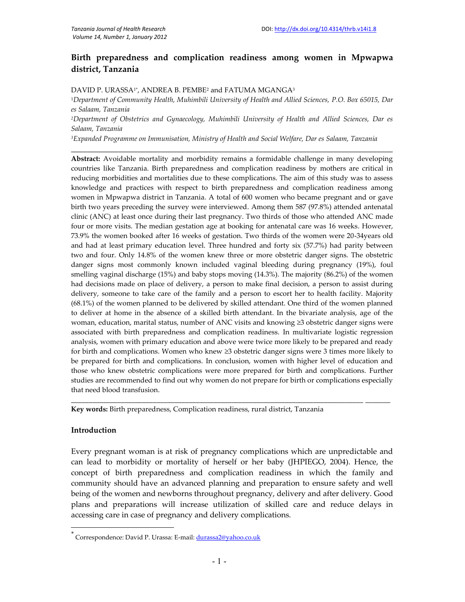# **Birth preparedness and complication readiness among women in Mpwapwa district, Tanzania**

DAVID P. URASSA1\* , ANDREA B. PEMBE<sup>2</sup> and FATUMA MGANGA<sup>3</sup>

<sup>1</sup>*Department of Community Health, Muhimbili University of Health and Allied Sciences, P.O. Box 65015, Dar es Salaam, Tanzania*

*<sup>2</sup>Department of Obstetrics and Gynaecology, Muhimbili University of Health and Allied Sciences, Dar es Salaam, Tanzania*

**\_\_\_\_\_\_\_\_\_\_\_\_\_\_\_\_\_\_\_\_\_\_\_\_\_\_\_\_\_\_\_\_\_\_\_\_\_\_\_\_\_\_\_\_\_\_\_\_\_\_\_\_\_\_\_\_\_\_\_\_\_\_\_\_\_\_\_\_\_\_\_\_\_\_\_\_\_\_\_\_\_\_**

*<sup>3</sup>Expanded Programme on Immunisation, Ministry of Health and Social Welfare, Dar es Salaam, Tanzania*

**Abstract:** Avoidable mortality and morbidity remains a formidable challenge in many developing countries like Tanzania. Birth preparedness and complication readiness by mothers are critical in reducing morbidities and mortalities due to these complications. The aim of this study was to assess knowledge and practices with respect to birth preparedness and complication readiness among women in Mpwapwa district in Tanzania. A total of 600 women who became pregnant and or gave birth two years preceding the survey were interviewed. Among them 587 (97.8%) attended antenatal clinic (ANC) at least once during their last pregnancy. Two thirds of those who attended ANC made four or more visits. The median gestation age at booking for antenatal care was 16 weeks. However, 73.9% the women booked after 16 weeks of gestation. Two thirds of the women were 20-34years old and had at least primary education level. Three hundred and forty six (57.7%) had parity between two and four. Only 14.8% of the women knew three or more obstetric danger signs. The obstetric danger signs most commonly known included vaginal bleeding during pregnancy (19%), foul smelling vaginal discharge (15%) and baby stops moving (14.3%). The majority (86.2%) of the women had decisions made on place of delivery, a person to make final decision, a person to assist during delivery, someone to take care of the family and a person to escort her to health facility. Majority (68.1%) of the women planned to be delivered by skilled attendant. One third of the women planned to deliver at home in the absence of a skilled birth attendant. In the bivariate analysis, age of the woman, education, marital status, number of ANC visits and knowing ≥3 obstetric danger signs were associated with birth preparedness and complication readiness. In multivariate logistic regression analysis, women with primary education and above were twice more likely to be prepared and ready for birth and complications. Women who knew ≥3 obstetric danger signs were 3 times more likely to be prepared for birth and complications. In conclusion, women with higher level of education and those who knew obstetric complications were more prepared for birth and complications. Further studies are recommended to find out why women do not prepare for birth or complications especially that need blood transfusion.

**Key words:** Birth preparedness, Complication readiness, rural district, Tanzania

### **Introduction**

Every pregnant woman is at risk of pregnancy complications which are unpredictable and can lead to morbidity or mortality of herself or her baby (JHPIEGO, 2004). Hence, the concept of birth preparedness and complication readiness in which the family and community should have an advanced planning and preparation to ensure safety and well being of the women and newborns throughout pregnancy, delivery and after delivery. Good plans and preparations will increase utilization of skilled care and reduce delays in accessing care in case of pregnancy and delivery complications.

\_\_\_\_\_\_\_\_\_\_\_\_\_\_\_\_\_\_\_\_\_\_\_\_\_\_\_\_\_\_\_\_\_\_\_\_\_\_\_\_\_\_\_\_\_\_\_\_\_\_\_\_\_\_\_\_\_\_\_\_\_\_\_\_\_\_\_\_\_\_\_\_\_\_\_\_\_\_\_\_\_\_ \_\_\_\_\_\_\_

<sup>\*&</sup>lt;br>Correspondence: David P. Urassa: E-mail: <u>durassa2@yahoo.co.uk</u>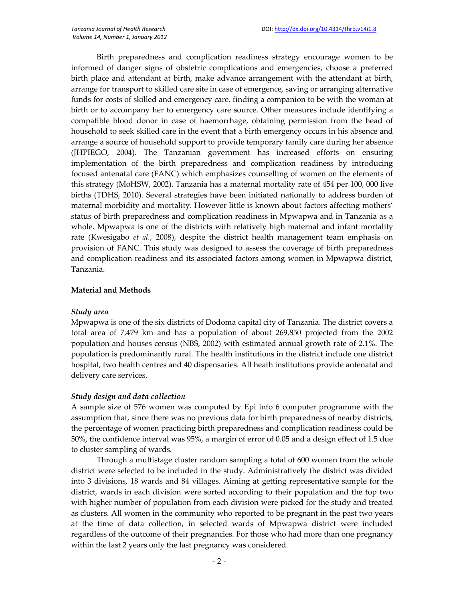Birth preparedness and complication readiness strategy encourage women to be informed of danger signs of obstetric complications and emergencies, choose a preferred birth place and attendant at birth, make advance arrangement with the attendant at birth, arrange for transport to skilled care site in case of emergence, saving or arranging alternative funds for costs of skilled and emergency care, finding a companion to be with the woman at birth or to accompany her to emergency care source. Other measures include identifying a compatible blood donor in case of haemorrhage, obtaining permission from the head of household to seek skilled care in the event that a birth emergency occurs in his absence and arrange a source of household support to provide temporary family care during her absence (JHPIEGO, 2004). The Tanzanian government has increased efforts on ensuring implementation of the birth preparedness and complication readiness by introducing focused antenatal care (FANC) which emphasizes counselling of women on the elements of this strategy (MoHSW, 2002). Tanzania has a maternal mortality rate of 454 per 100, 000 live births (TDHS, 2010). Several strategies have been initiated nationally to address burden of maternal morbidity and mortality. However little is known about factors affecting mothers' status of birth preparedness and complication readiness in Mpwapwa and in Tanzania as a whole. Mpwapwa is one of the districts with relatively high maternal and infant mortality rate (Kwesigabo *et al.*, 2008), despite the district health management team emphasis on provision of FANC. This study was designed to assess the coverage of birth preparedness and complication readiness and its associated factors among women in Mpwapwa district, Tanzania.

# **Material and Methods**

### *Study area*

Mpwapwa is one of the six districts of Dodoma capital city of Tanzania. The district covers a total area of 7,479 km and has a population of about 269,850 projected from the 2002 population and houses census (NBS, 2002) with estimated annual growth rate of 2.1%. The population is predominantly rural. The health institutions in the district include one district hospital, two health centres and 40 dispensaries. All heath institutions provide antenatal and delivery care services.

# *Study design and data collection*

A sample size of 576 women was computed by Epi info 6 computer programme with the assumption that, since there was no previous data for birth preparedness of nearby districts, the percentage of women practicing birth preparedness and complication readiness could be 50%, the confidence interval was 95%, a margin of error of 0.05 and a design effect of 1.5 due to cluster sampling of wards.

Through a multistage cluster random sampling a total of 600 women from the whole district were selected to be included in the study. Administratively the district was divided into 3 divisions, 18 wards and 84 villages. Aiming at getting representative sample for the district, wards in each division were sorted according to their population and the top two with higher number of population from each division were picked for the study and treated as clusters. All women in the community who reported to be pregnant in the past two years at the time of data collection, in selected wards of Mpwapwa district were included regardless of the outcome of their pregnancies. For those who had more than one pregnancy within the last 2 years only the last pregnancy was considered.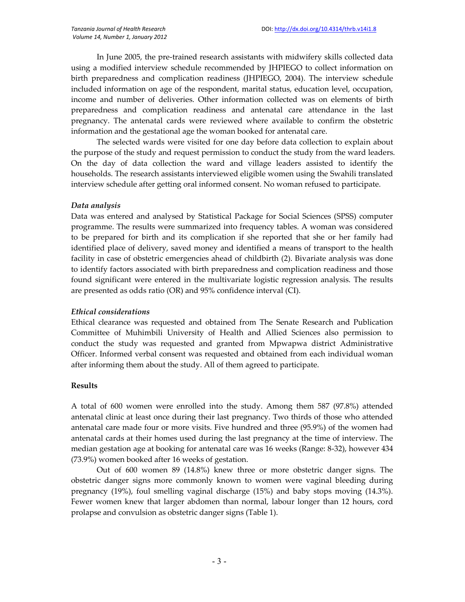In June 2005, the pre-trained research assistants with midwifery skills collected data using a modified interview schedule recommended by JHPIEGO to collect information on birth preparedness and complication readiness (JHPIEGO, 2004). The interview schedule included information on age of the respondent, marital status, education level, occupation, income and number of deliveries. Other information collected was on elements of birth preparedness and complication readiness and antenatal care attendance in the last pregnancy. The antenatal cards were reviewed where available to confirm the obstetric information and the gestational age the woman booked for antenatal care.

The selected wards were visited for one day before data collection to explain about the purpose of the study and request permission to conduct the study from the ward leaders. On the day of data collection the ward and village leaders assisted to identify the households. The research assistants interviewed eligible women using the Swahili translated interview schedule after getting oral informed consent. No woman refused to participate.

# *Data analysis*

Data was entered and analysed by Statistical Package for Social Sciences (SPSS) computer programme. The results were summarized into frequency tables. A woman was considered to be prepared for birth and its complication if she reported that she or her family had identified place of delivery, saved money and identified a means of transport to the health facility in case of obstetric emergencies ahead of childbirth (2). Bivariate analysis was done to identify factors associated with birth preparedness and complication readiness and those found significant were entered in the multivariate logistic regression analysis. The results are presented as odds ratio (OR) and 95% confidence interval (CI).

# *Ethical considerations*

Ethical clearance was requested and obtained from The Senate Research and Publication Committee of Muhimbili University of Health and Allied Sciences also permission to conduct the study was requested and granted from Mpwapwa district Administrative Officer. Informed verbal consent was requested and obtained from each individual woman after informing them about the study. All of them agreed to participate.

### **Results**

A total of 600 women were enrolled into the study. Among them 587 (97.8%) attended antenatal clinic at least once during their last pregnancy. Two thirds of those who attended antenatal care made four or more visits. Five hundred and three (95.9%) of the women had antenatal cards at their homes used during the last pregnancy at the time of interview. The median gestation age at booking for antenatal care was 16 weeks (Range: 8-32), however 434 (73.9%) women booked after 16 weeks of gestation.

Out of 600 women 89 (14.8%) knew three or more obstetric danger signs. The obstetric danger signs more commonly known to women were vaginal bleeding during pregnancy (19%), foul smelling vaginal discharge (15%) and baby stops moving (14.3%). Fewer women knew that larger abdomen than normal, labour longer than 12 hours, cord prolapse and convulsion as obstetric danger signs (Table 1).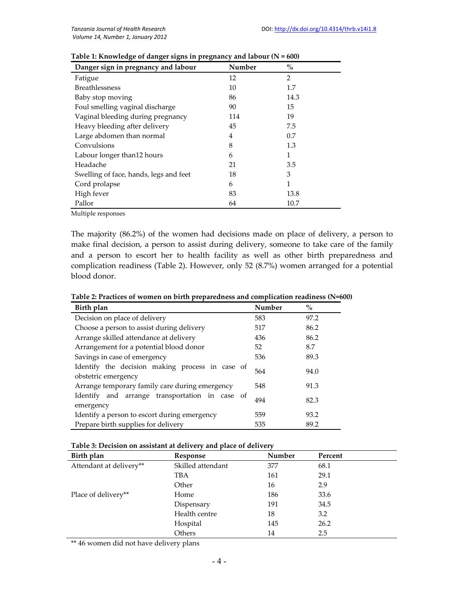| Danger sign in pregnancy and labour    | Number | $\mathbf{0}_{\mathbf{0}}^{\prime}$ |
|----------------------------------------|--------|------------------------------------|
| Fatigue                                | 12     | 2                                  |
| <b>Breathlessness</b>                  | 10     | 1.7                                |
| Baby stop moving                       | 86     | 14.3                               |
| Foul smelling vaginal discharge        | 90     | 15                                 |
| Vaginal bleeding during pregnancy      | 114    | 19                                 |
| Heavy bleeding after delivery          | 45     | 7.5                                |
| Large abdomen than normal              | 4      | 0.7                                |
| Convulsions                            | 8      | 1.3                                |
| Labour longer than 12 hours            | 6      | 1                                  |
| Headache                               | 21     | 3.5                                |
| Swelling of face, hands, legs and feet | 18     | 3                                  |
| Cord prolapse                          | 6      | $\mathbf{1}$                       |
| High fever                             | 83     | 13.8                               |
| Pallor                                 | 64     | 10.7                               |

#### **Table 1: Knowledge of danger signs in pregnancy and labour (N = 600)**

Multiple responses

The majority (86.2%) of the women had decisions made on place of delivery, a person to make final decision, a person to assist during delivery, someone to take care of the family and a person to escort her to health facility as well as other birth preparedness and complication readiness (Table 2). However, only 52 (8.7%) women arranged for a potential blood donor.

| Table 2: Practices of women on birth preparedness and complication readiness (N=600) |  |  |
|--------------------------------------------------------------------------------------|--|--|
|--------------------------------------------------------------------------------------|--|--|

| Birth plan                                                             | Number | $\mathbf{0}_{\mathbf{0}}^{\prime}$ |
|------------------------------------------------------------------------|--------|------------------------------------|
| Decision on place of delivery                                          | 583    | 97.2                               |
| Choose a person to assist during delivery                              | 517    | 86.2                               |
| Arrange skilled attendance at delivery                                 | 436    | 86.2                               |
| Arrangement for a potential blood donor                                | 52     | 8.7                                |
| Savings in case of emergency                                           | 536    | 89.3                               |
| Identify the decision making process in case of<br>obstetric emergency | 564    | 94.0                               |
| Arrange temporary family care during emergency                         | 548    | 91.3                               |
| Identify and arrange transportation in case of<br>emergency            | 494    | 82.3                               |
| Identify a person to escort during emergency                           | 559    | 93.2                               |
| Prepare birth supplies for delivery                                    | 535    | 89.2                               |

|  | Table 3: Decision on assistant at delivery and place of delivery |
|--|------------------------------------------------------------------|
|  |                                                                  |

| Birth plan              | Response          | Number | Percent |  |
|-------------------------|-------------------|--------|---------|--|
| Attendant at delivery** | Skilled attendant | 377    | 68.1    |  |
|                         | TBA               | 161    | 29.1    |  |
|                         | Other             | 16     | 2.9     |  |
| Place of delivery**     | Home              | 186    | 33.6    |  |
|                         | Dispensary        | 191    | 34.5    |  |
|                         | Health centre     | 18     | 3.2     |  |
|                         | Hospital          | 145    | 26.2    |  |
|                         | Others            | 14     | 2.5     |  |

\*\* 46 women did not have delivery plans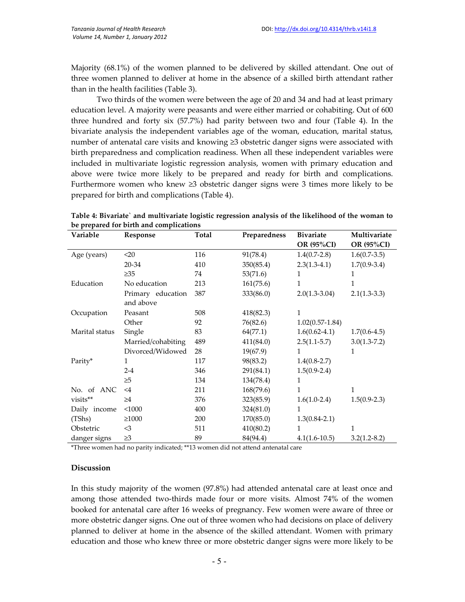Majority (68.1%) of the women planned to be delivered by skilled attendant. One out of three women planned to deliver at home in the absence of a skilled birth attendant rather than in the health facilities (Table 3).

Two thirds of the women were between the age of 20 and 34 and had at least primary education level. A majority were peasants and were either married or cohabiting. Out of 600 three hundred and forty six (57.7%) had parity between two and four (Table 4). In the bivariate analysis the independent variables age of the woman, education, marital status, number of antenatal care visits and knowing ≥3 obstetric danger signs were associated with birth preparedness and complication readiness. When all these independent variables were included in multivariate logistic regression analysis, women with primary education and above were twice more likely to be prepared and ready for birth and complications. Furthermore women who knew ≥3 obstetric danger signs were 3 times more likely to be prepared for birth and complications (Table 4).

| Variable       | Response           | <b>Total</b> | Preparedness | <b>Bivariate</b>  | Multivariate   |
|----------------|--------------------|--------------|--------------|-------------------|----------------|
|                |                    |              |              | OR (95%CI)        | OR (95%CI)     |
| Age (years)    | $20$               | 116          | 91(78.4)     | $1.4(0.7-2.8)$    | $1.6(0.7-3.5)$ |
|                | 20-34              | 410          | 350(85.4)    | $2.3(1.3-4.1)$    | $1.7(0.9-3.4)$ |
|                | $\geq 35$          | 74           | 53(71.6)     | 1                 | 1              |
| Education      | No education       | 213          | 161(75.6)    | 1                 | 1              |
|                | Primary education  | 387          | 333(86.0)    | $2.0(1.3-3.04)$   | $2.1(1.3-3.3)$ |
|                | and above          |              |              |                   |                |
| Occupation     | Peasant            | 508          | 418(82.3)    | 1                 |                |
|                | Other              | 92           | 76(82.6)     | $1.02(0.57-1.84)$ |                |
| Marital status | Single             | 83           | 64(77.1)     | $1.6(0.62-4.1)$   | $1.7(0.6-4.5)$ |
|                | Married/cohabiting | 489          | 411(84.0)    | $2.5(1.1-5.7)$    | $3.0(1.3-7.2)$ |
|                | Divorced/Widowed   | 28           | 19(67.9)     | 1                 | 1              |
| Parity*        | 1                  | 117          | 98(83.2)     | $1.4(0.8-2.7)$    |                |
|                | $2 - 4$            | 346          | 291(84.1)    | $1.5(0.9-2.4)$    |                |
|                | $\geq 5$           | 134          | 134(78.4)    | 1                 |                |
| No. of ANC     | $\leq 4$           | 211          | 168(79.6)    | 1                 | 1              |
| visits**       | $\geq 4$           | 376          | 323(85.9)    | $1.6(1.0-2.4)$    | $1.5(0.9-2.3)$ |
| Daily income   | $<$ 1000           | 400          | 324(81.0)    | 1                 |                |
| (TShs)         | $\geq 1000$        | 200          | 170(85.0)    | $1.3(0.84-2.1)$   |                |
| Obstetric      | $<$ 3              | 511          | 410(80.2)    | 1                 | 1              |
| danger signs   | $\geq$ 3           | 89           | 84(94.4)     | $4.1(1.6-10.5)$   | $3.2(1.2-8.2)$ |

**Table 4: Bivariate` and multivariate logistic regression analysis of the likelihood of the woman to be prepared for birth and complications**

\*Three women had no parity indicated; \*\*13 women did not attend antenatal care

### **Discussion**

In this study majority of the women (97.8%) had attended antenatal care at least once and among those attended two-thirds made four or more visits. Almost 74% of the women booked for antenatal care after 16 weeks of pregnancy. Few women were aware of three or more obstetric danger signs. One out of three women who had decisions on place of delivery planned to deliver at home in the absence of the skilled attendant. Women with primary education and those who knew three or more obstetric danger signs were more likely to be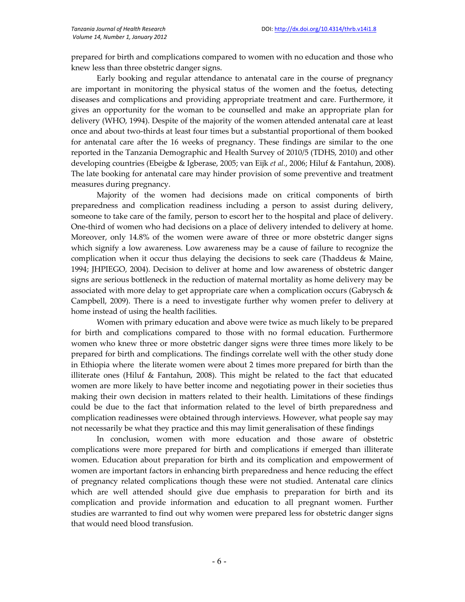prepared for birth and complications compared to women with no education and those who knew less than three obstetric danger signs.

Early booking and regular attendance to antenatal care in the course of pregnancy are important in monitoring the physical status of the women and the foetus, detecting diseases and complications and providing appropriate treatment and care. Furthermore, it gives an opportunity for the woman to be counselled and make an appropriate plan for delivery (WHO, 1994). Despite of the majority of the women attended antenatal care at least once and about two-thirds at least four times but a substantial proportional of them booked for antenatal care after the 16 weeks of pregnancy. These findings are similar to the one reported in the Tanzania Demographic and Health Survey of 2010/5 (TDHS, 2010) and other developing countries (Ebeigbe & Igberase, 2005; van Eijk *et al.*, 2006; Hiluf & Fantahun, 2008). The late booking for antenatal care may hinder provision of some preventive and treatment measures during pregnancy.

Majority of the women had decisions made on critical components of birth preparedness and complication readiness including a person to assist during delivery, someone to take care of the family, person to escort her to the hospital and place of delivery. One-third of women who had decisions on a place of delivery intended to delivery at home. Moreover, only 14.8% of the women were aware of three or more obstetric danger signs which signify a low awareness. Low awareness may be a cause of failure to recognize the complication when it occur thus delaying the decisions to seek care (Thaddeus & Maine, 1994; JHPIEGO, 2004). Decision to deliver at home and low awareness of obstetric danger signs are serious bottleneck in the reduction of maternal mortality as home delivery may be associated with more delay to get appropriate care when a complication occurs (Gabrysch & Campbell, 2009). There is a need to investigate further why women prefer to delivery at home instead of using the health facilities.

Women with primary education and above were twice as much likely to be prepared for birth and complications compared to those with no formal education. Furthermore women who knew three or more obstetric danger signs were three times more likely to be prepared for birth and complications. The findings correlate well with the other study done in Ethiopia where the literate women were about 2 times more prepared for birth than the illiterate ones (Hiluf & Fantahun, 2008). This might be related to the fact that educated women are more likely to have better income and negotiating power in their societies thus making their own decision in matters related to their health. Limitations of these findings could be due to the fact that information related to the level of birth preparedness and complication readinesses were obtained through interviews. However, what people say may not necessarily be what they practice and this may limit generalisation of these findings

In conclusion, women with more education and those aware of obstetric complications were more prepared for birth and complications if emerged than illiterate women. Education about preparation for birth and its complication and empowerment of women are important factors in enhancing birth preparedness and hence reducing the effect of pregnancy related complications though these were not studied. Antenatal care clinics which are well attended should give due emphasis to preparation for birth and its complication and provide information and education to all pregnant women. Further studies are warranted to find out why women were prepared less for obstetric danger signs that would need blood transfusion.